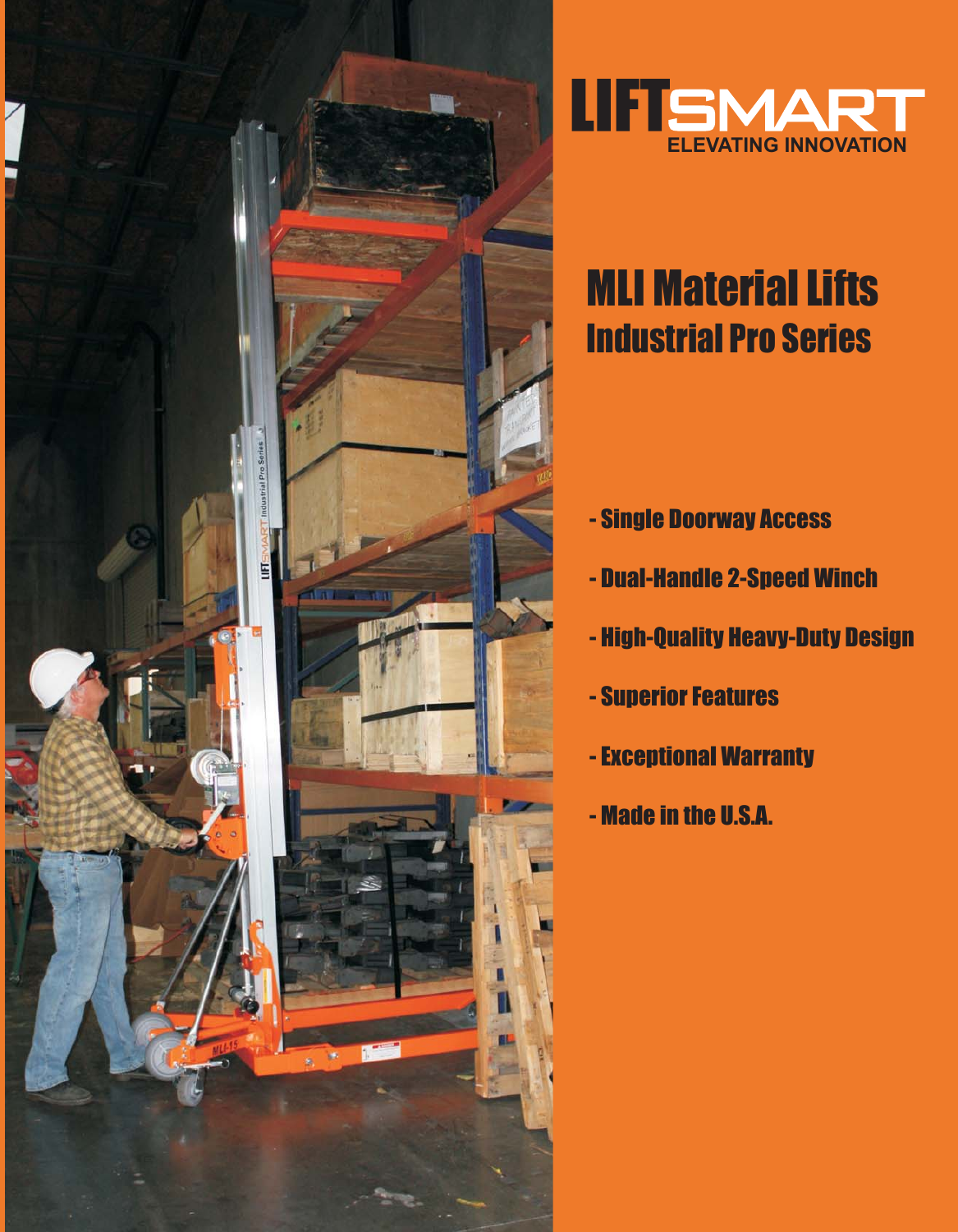



# MLI Material Lifts Industrial Pro Series

- Single Doorway Access
- Dual-Handle 2-Speed Winch
- High-Quality Heavy-Duty Design
- Superior Features
- Exceptional Warranty
- Made in the U.S.A.